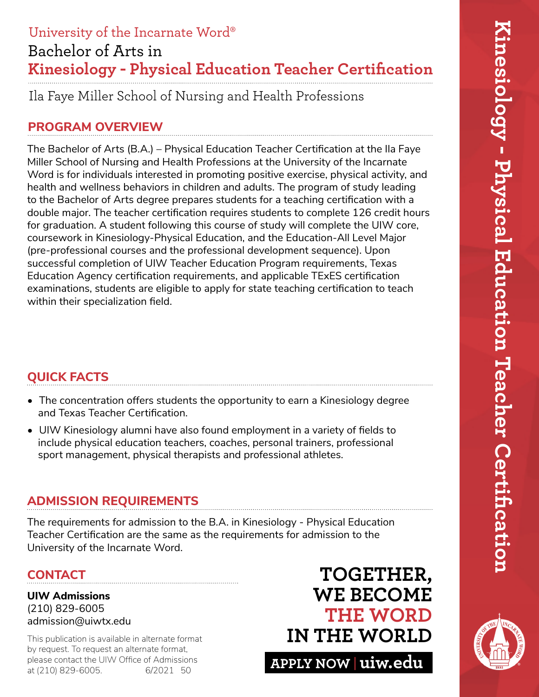# Bachelor of Arts in **Kinesiology - Physical Education Teacher Certification** University of the Incarnate Word®

Ila Faye Miller School of Nursing and Health Professions

# **PROGRAM OVERVIEW**

The Bachelor of Arts (B.A.) – Physical Education Teacher Certification at the Ila Faye Miller School of Nursing and Health Professions at the University of the Incarnate Word is for individuals interested in promoting positive exercise, physical activity, and health and wellness behaviors in children and adults. The program of study leading to the Bachelor of Arts degree prepares students for a teaching certification with a double major. The teacher certification requires students to complete 126 credit hours for graduation. A student following this course of study will complete the UIW core, coursework in Kinesiology-Physical Education, and the Education-All Level Major (pre-professional courses and the professional development sequence). Upon successful completion of UIW Teacher Education Program requirements, Texas Education Agency certification requirements, and applicable TExES certification examinations, students are eligible to apply for state teaching certification to teach within their specialization field.

# **QUICK FACTS**

- The concentration offers students the opportunity to earn a Kinesiology degree and Texas Teacher Certification.
- UIW Kinesiology alumni have also found employment in a variety of fields to include physical education teachers, coaches, personal trainers, professional sport management, physical therapists and professional athletes.

# **ADMISSION REQUIREMENTS**

The requirements for admission to the B.A. in Kinesiology - Physical Education Teacher Certification are the same as the requirements for admission to the University of the Incarnate Word.

## **CONTACT**

**UIW Admissions** (210) 829-6005 admission@uiwtx.edu

by request. To request an alternate format, please contact the UIW Office of Admissions<br>at (210) 829-6005. 6/2021 50 at (210) 829-6005.

# **TOGETHER, WE BECOME THE WORD** This publication is available in alternate format **IN THE WORLD**

**APPLY NOW uiw.edu**